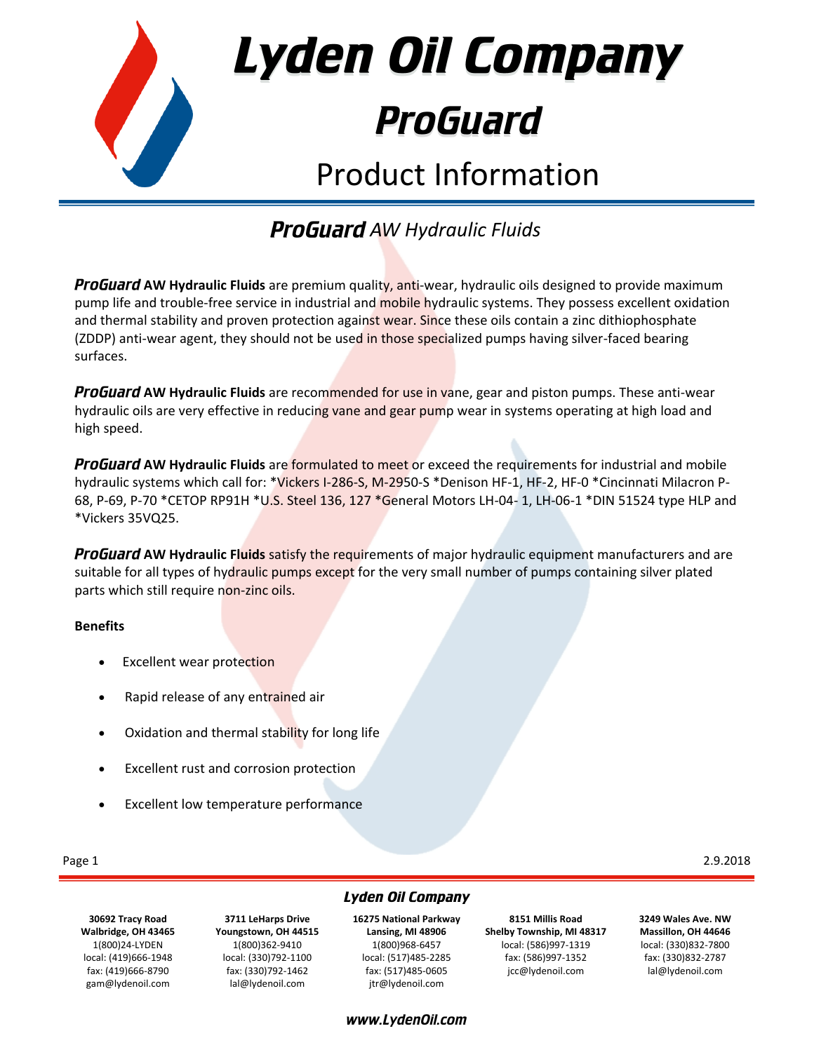

Lyden Oil Company

# **ProGuard**

## Product Information

### *AW Hydraulic Fluids*

**ProGuard AW Hydraulic Fluids** are premium quality, anti-wear, hydraulic oils designed to provide maximum pump life and trouble-free service in industrial and mobile hydraulic systems. They possess excellent oxidation and thermal stability and proven protection against wear. Since these oils contain a zinc dithiophosphate (ZDDP) anti-wear agent, they should not be used in those specialized pumps having silver-faced bearing surfaces.

**ProGuard AW Hydraulic Fluids** are recommended for use in vane, gear and piston pumps. These anti-wear hydraulic oils are very effective in reducing vane and gear pump wear in systems operating at high load and high speed.

**ProGuard AW Hydraulic Fluids** are formulated to meet or exceed the requirements for industrial and mobile hydraulic systems which call for: \*Vickers I-286-S, M-2950-S \*Denison HF-1, HF-2, HF-0 \*Cincinnati Milacron P-68, P-69, P-70 \*CETOP RP91H \*U.S. Steel 136, 127 \*General Motors LH-04- 1, LH-06-1 \*DIN 51524 type HLP and \*Vickers 35VQ25.

**ProGuard AW Hydraulic Fluids** satisfy the requirements of major hydraulic equipment manufacturers and are suitable for all types of hydraulic pumps except for the very small number of pumps containing silver plated parts which still require non-zinc oils.

#### **Benefits**

- Excellent wear protection
- Rapid release of any entrained air
- Oxidation and thermal stability for long life
- Excellent rust and corrosion protection
- Excellent low temperature performance

Page 1 2.9.2018

**30692 Tracy Road Walbridge, OH 43465** 1(800)24-LYDEN local: (419)666-1948 fax: (419)666-8790 gam@lydenoil.com

**3711 LeHarps Drive Youngstown, OH 44515** 1(800)362-9410 local: (330)792-1100 fax: (330)792-1462 lal@lydenoil.com

**Lyden Oil Company 16275 National Parkway Lansing, MI 48906** 1(800)968-6457

local: (517)485-2285 fax: (517)485-0605 jtr@lydenoil.com

www.LydenOil.com

**8151 Millis Road Shelby Township, MI 48317** local: (586)997-1319 fax: (586)997-1352 jcc@lydenoil.com

**3249 Wales Ave. NW Massillon, OH 44646** local: (330)832-7800 fax: (330)832-2787 lal@lydenoil.com